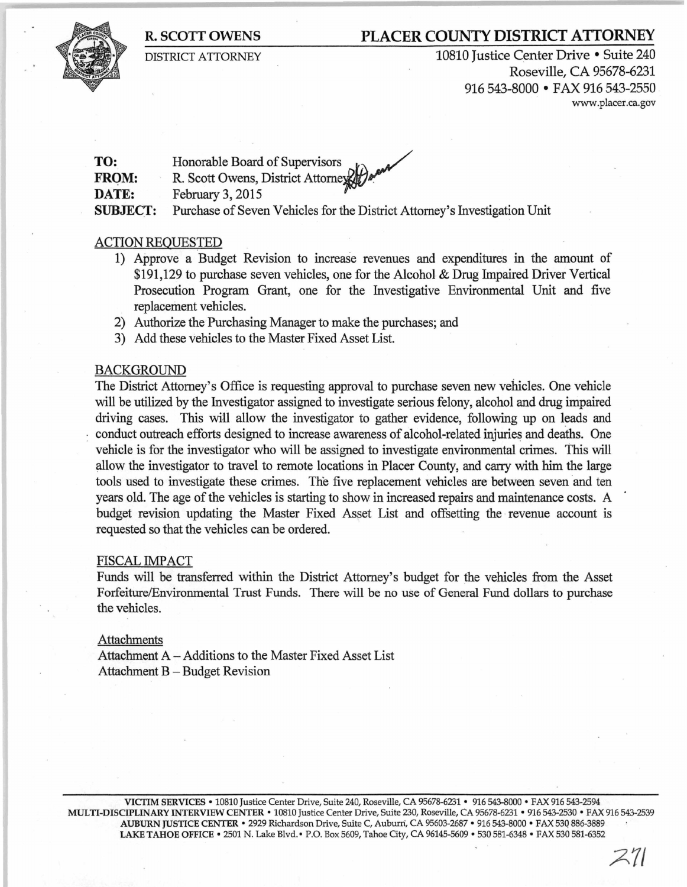## **R. SCOTT OWENS PLACER COUNTY DISTRICT ATTORNEY**

DISTRICT ATTORNEY

10810 Justice Center Drive • Suite 240 Roseville, CA 95678-6231 916 543-8000 • FAX 916 543-2550 www .placer .ca.gov

**TO: FROM: DATE:**  Honorable Board of Supervisors R. Scott Owens, District Attorney February 3, 2015 **SUBJECT:** Purchase of Seven Vehicles for the District Attorney's Investigation Unit

### ACTION REQUESTED

- 1) Approve a Budget Revision to increase revenues and expenditures in the amount of \$191,129 to purchase seven vehicles, one for the Alcohol & Drug Impaired Driver Vertical Prosecution Program Grant, one for the Investigative Environmental Unit and five replacement vehicles.
- 2) Authorize the Purchasing Manager to make the purchases; and
- 3) Add these vehicles to the Master Fixed Asset List.

#### BACKGROUND

The District Attorney's Office is requesting approval to purchase seven new vehicles. One vehicle will be utilized by the Investigator assigned to investigate serious felony, alcohol and drug impaired driving cases. This wiU allow the investigator to gather evidence, following up on leads and conduct outreach efforts designed to increase awareness of alcohol-related injuries and deaths. One vehicle is for the investigator who will be assigned to investigate environmental crimes. this will allow the investigator to travel to remote locations in Placer County, and carry with him the large tools used to investigate these crimes. The five replacement vehicles are between seven and ten years old. The age of the vehicles is starting to show in increased repairs and maintenance costs. A budget revision updating the Master Fixed Asset List and offsetting the revenue account is requested so that the vehicles can be ordered.

#### FISCAL IMPACT

Funds will be transferred within the District Attorney's budget for the vehicles from the Asset Forfeiture/Environmental Trust Funds. There will be no use of General Fund dollars to purchase the vehicles.

#### Attachments

Attachment A - Additions to the Master Fixed Asset List Attachment B - Budget Revision

VICTIM SERVICES • 10810 Justice Center Drive, Suite 240, Roseville, CA 95678-6231 • 916 543-8000 • FAX 916 543-2594 MULTI-DISCIPLINARY INTERVIEW CENTER • 10810 Justice Center Drive, Suite 230, Roseville, CA 95678-6231 • 916 543-2530 • FAX 916 543-2539 AUBURN JUSTICE CENTER • 2929 Richardson Drive, Suite C, Aubuni, CA 95603-2687 • 916 543-8000 • FAX 530 886-3889 LAKE TAHOE OFFICE • 2501 N. Lake Blvd. • P.O. Box 5609, Tahoe City, CA 96145-5609 • 530 581-6348 • FAX 530 581-6352

*A71*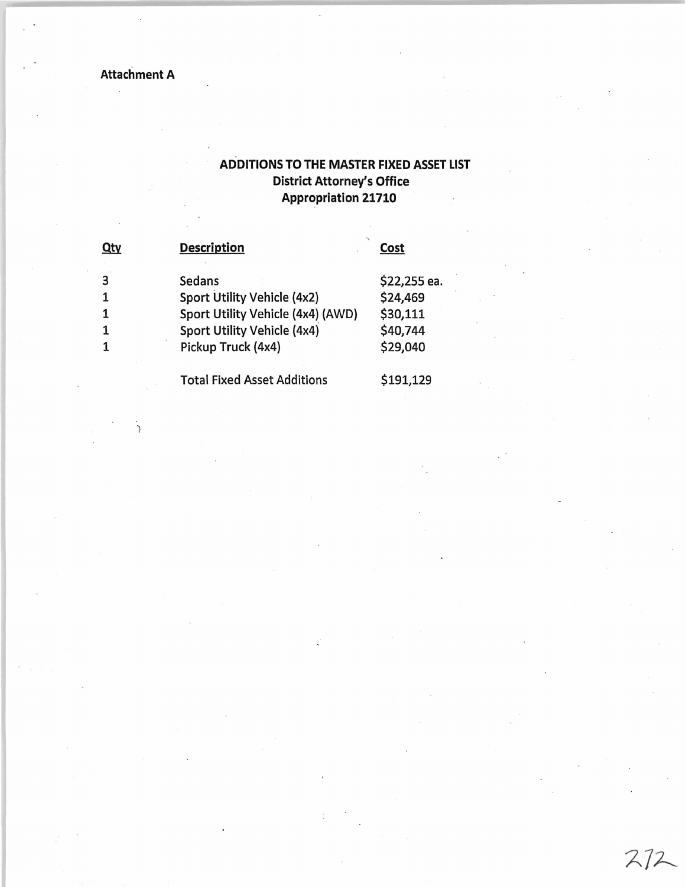Attachment A

.<br>C

# ADDITIONS TO THE MASTER FIXED ASSET LIST District Attorney's Office Appropriation 21710

 $272$ 

| Qty | <b>Description</b>                 | Cost         |  |  |
|-----|------------------------------------|--------------|--|--|
| 3   | Sedans                             | \$22,255 ea. |  |  |
|     | Sport Utility Vehicle (4x2)        | \$24,469     |  |  |
|     | Sport Utility Vehicle (4x4) (AWD)  | \$30,111     |  |  |
|     | Sport Utility Vehicle (4x4)        | \$40,744     |  |  |
|     | Pickup Truck (4x4)                 | \$29,040     |  |  |
|     | <b>Total Fixed Asset Additions</b> | \$191,129    |  |  |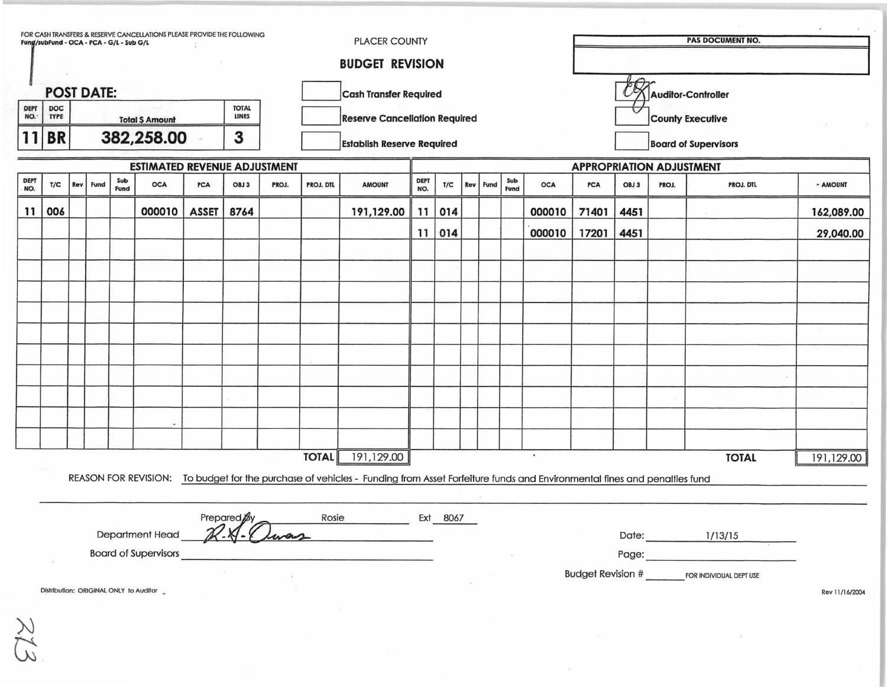| FOR CASH TRANSFERS & RESERVE CANCELLATIONS PLEASE PROVIDE THE FOLLOWING<br><b>PLACER COUNTY</b><br>Fung/subFund - OCA - PCA - G/L - Sub G/L |                                                    |                                            |      |      |                                        |                                      |             |       |              |                                                                                                                                              | <b>PAS DOCUMENT NO.</b> |                    |            |      |      |                                                        |                          |       |       |                         |                |
|---------------------------------------------------------------------------------------------------------------------------------------------|----------------------------------------------------|--------------------------------------------|------|------|----------------------------------------|--------------------------------------|-------------|-------|--------------|----------------------------------------------------------------------------------------------------------------------------------------------|-------------------------|--------------------|------------|------|------|--------------------------------------------------------|--------------------------|-------|-------|-------------------------|----------------|
|                                                                                                                                             |                                                    |                                            |      |      |                                        |                                      |             |       |              | <b>BUDGET REVISION</b>                                                                                                                       |                         |                    |            |      |      |                                                        |                          |       |       |                         |                |
|                                                                                                                                             | <b>POST DATE:</b><br><b>Cash Transfer Required</b> |                                            |      |      |                                        |                                      |             |       |              |                                                                                                                                              |                         | Auditor-Controller |            |      |      |                                                        |                          |       |       |                         |                |
| <b>DEPT</b><br>NO.                                                                                                                          | <b>DOC</b><br><b>TYPE</b>                          | <b>TOTAL</b><br><b>LINES</b>               |      |      |                                        |                                      |             |       |              |                                                                                                                                              |                         |                    |            |      |      |                                                        | ι.                       |       |       |                         |                |
| <b>Total \$ Amount</b><br>382,258.00<br>3<br>11<br><b>BR</b>                                                                                |                                                    |                                            |      |      |                                        | <b>Reserve Cancellation Required</b> |             |       |              |                                                                                                                                              |                         |                    |            |      |      | <b>County Executive</b><br><b>Board of Supervisors</b> |                          |       |       |                         |                |
|                                                                                                                                             |                                                    |                                            |      |      |                                        |                                      |             |       |              | <b>Establish Reserve Required</b>                                                                                                            |                         |                    |            |      |      |                                                        |                          |       |       |                         |                |
| <b>DEPT</b>                                                                                                                                 |                                                    | <b>ESTIMATED REVENUE ADJUSTMENT</b><br>Sub |      |      |                                        |                                      |             |       |              | <b>DEPT</b>                                                                                                                                  |                         |                    |            | Sub  |      | <b>APPROPRIATION ADJUSTMENT</b>                        |                          |       |       |                         |                |
| NO.                                                                                                                                         | T/C                                                | Rev                                        | Fund | Fund | <b>OCA</b>                             | <b>PCA</b>                           | OBJ 3       | PROJ. | PROJ. DTL    | <b>AMOUNT</b>                                                                                                                                | NO.                     | T/C                | <b>Rev</b> | Fund | Fund | <b>OCA</b>                                             | <b>PCA</b>               | OBJ 3 | PROJ. | PROJ. DTL               | - AMOUNT       |
| 11                                                                                                                                          | 006                                                |                                            |      |      | 000010                                 | <b>ASSET</b>                         | 8764        |       |              | 191,129.00                                                                                                                                   |                         | 11   014           |            |      |      | 000010                                                 | 71401                    | 4451  |       |                         | 162,089.00     |
|                                                                                                                                             |                                                    |                                            |      |      |                                        |                                      |             |       |              |                                                                                                                                              |                         | 11   014           |            |      |      | 000010                                                 | 17201                    | 4451  |       |                         | 29,040.00      |
|                                                                                                                                             |                                                    |                                            |      |      |                                        |                                      |             |       |              |                                                                                                                                              |                         |                    |            |      |      |                                                        |                          |       |       |                         |                |
|                                                                                                                                             |                                                    |                                            |      |      |                                        |                                      |             |       |              |                                                                                                                                              |                         |                    |            |      |      |                                                        |                          |       |       |                         |                |
|                                                                                                                                             |                                                    |                                            |      |      |                                        |                                      |             |       |              |                                                                                                                                              |                         |                    |            |      |      |                                                        |                          |       |       |                         |                |
|                                                                                                                                             |                                                    |                                            |      |      |                                        |                                      |             |       |              |                                                                                                                                              |                         |                    |            |      |      |                                                        |                          |       |       |                         |                |
|                                                                                                                                             |                                                    |                                            |      |      |                                        |                                      |             |       |              |                                                                                                                                              |                         |                    |            |      |      |                                                        |                          |       |       |                         |                |
|                                                                                                                                             |                                                    |                                            |      |      |                                        |                                      |             |       |              |                                                                                                                                              |                         |                    |            |      |      |                                                        |                          |       |       |                         |                |
|                                                                                                                                             |                                                    |                                            |      |      |                                        |                                      |             |       |              |                                                                                                                                              |                         |                    |            |      |      |                                                        |                          |       |       |                         |                |
|                                                                                                                                             |                                                    |                                            |      |      |                                        |                                      |             |       |              |                                                                                                                                              |                         |                    |            |      |      |                                                        |                          |       |       |                         |                |
|                                                                                                                                             |                                                    |                                            |      |      |                                        |                                      |             |       |              |                                                                                                                                              |                         |                    |            |      |      |                                                        |                          |       |       |                         |                |
|                                                                                                                                             |                                                    |                                            |      |      |                                        |                                      |             |       |              |                                                                                                                                              |                         |                    |            |      |      |                                                        |                          |       |       |                         |                |
|                                                                                                                                             |                                                    |                                            |      |      |                                        |                                      |             |       | <b>TOTAL</b> | 191,129.00                                                                                                                                   |                         |                    |            |      |      | $\bullet$                                              |                          |       |       | <b>TOTAL</b>            | 191,129.00     |
|                                                                                                                                             |                                                    |                                            |      |      |                                        |                                      |             |       |              | REASON FOR REVISION: To budget for the purchase of vehicles - Funding from Asset Forfeiture funds and Environmental fines and penalties fund |                         |                    |            |      |      |                                                        |                          |       |       |                         |                |
|                                                                                                                                             |                                                    |                                            |      |      |                                        |                                      |             |       |              |                                                                                                                                              |                         |                    |            |      |      |                                                        |                          |       |       |                         |                |
|                                                                                                                                             |                                                    |                                            |      |      |                                        |                                      | Prepared By |       |              | Rosie                                                                                                                                        |                         | Ext 8067           |            |      |      |                                                        |                          |       |       |                         |                |
|                                                                                                                                             |                                                    |                                            |      |      | <b>Department Head</b>                 |                                      |             |       |              |                                                                                                                                              |                         |                    |            |      |      |                                                        |                          | Date: |       | 1/13/15                 |                |
|                                                                                                                                             |                                                    |                                            |      |      | <b>Board of Supervisors</b>            |                                      |             |       |              |                                                                                                                                              |                         |                    |            |      |      |                                                        |                          | Page: |       |                         |                |
|                                                                                                                                             |                                                    |                                            |      |      |                                        |                                      |             |       |              |                                                                                                                                              |                         |                    |            |      |      |                                                        | <b>Budget Revision #</b> |       |       | FOR INDIVIDUAL DEPT USE |                |
|                                                                                                                                             |                                                    |                                            |      |      | Distribution: ORIGINAL ONLY to Auditor |                                      |             |       |              |                                                                                                                                              |                         |                    |            |      |      |                                                        |                          |       |       |                         | Rev 11/16/2004 |

 $\frac{1}{2}$ 

213